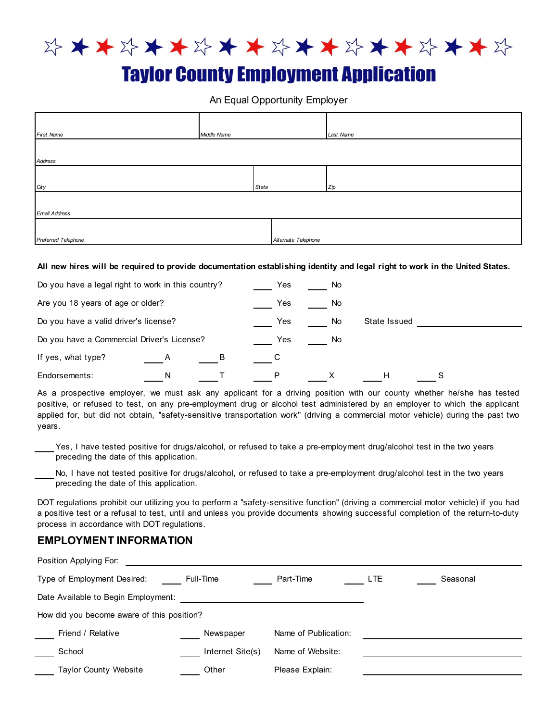

# **Taylor County Employment Application**

An Equal Opportunity Employer

| <b>First Name</b>    | Middle Name |                     | Last Name |
|----------------------|-------------|---------------------|-----------|
|                      |             |                     |           |
| Address              |             |                     |           |
|                      |             |                     |           |
| City                 |             | State               | Zip       |
|                      |             |                     |           |
| <b>Email Address</b> |             |                     |           |
|                      |             |                     |           |
| Preferred Telephone  |             | Alternate Telephone |           |

**All new hires will be required to provide documentation establishing identity and legal right to work in the United States.**

| Do you have a legal right to work in this country? |   |   | Yes | No. |              |  |
|----------------------------------------------------|---|---|-----|-----|--------------|--|
| Are you 18 years of age or older?                  |   |   | Yes | No. |              |  |
| Do you have a valid driver's license?              |   |   | Yes | No  | State Issued |  |
| Do you have a Commercial Driver's License?         |   |   | Yes | No. |              |  |
| If yes, what type?                                 | Α | B |     |     |              |  |
| Endorsements:                                      | N |   |     |     | н            |  |

As a prospective employer, we must ask any applicant for a driving position with our county whether he/she has tested positive, or refused to test, on any pre-employment drug or alcohol test administered by an employer to which the applicant applied for, but did not obtain, "safety-sensitive transportation work" (driving a commercial motor vehicle) during the past two years.

Yes, I have tested positive for drugs/alcohol, or refused to take a pre-employment drug/alcohol test in the two years preceding the date of this application.

preceding the date of this application. No, I have not tested positive for drugs/alcohol, or refused to take a pre-employment drug/alcohol test in the two years

DOT regulations prohibit our utilizing you to perform a "safety-sensitive function" (driving a commercial motor vehicle) if you had a positive test or a refusal to test, until and unless you provide documents showing successful completion of the return-to-duty process in accordance with DOT regulations.

#### **EMPLOYMENT INFORMATION**

| Position Applying For:                     |                  |                      |            |          |
|--------------------------------------------|------------------|----------------------|------------|----------|
| Type of Employment Desired:                | Full-Time        | Part-Time            | <b>LTE</b> | Seasonal |
| Date Available to Begin Employment:        |                  |                      |            |          |
| How did you become aware of this position? |                  |                      |            |          |
| Friend / Relative                          | Newspaper        | Name of Publication: |            |          |
| School                                     | Internet Site(s) | Name of Website:     |            |          |
| <b>Taylor County Website</b>               | Other            | Please Explain:      |            |          |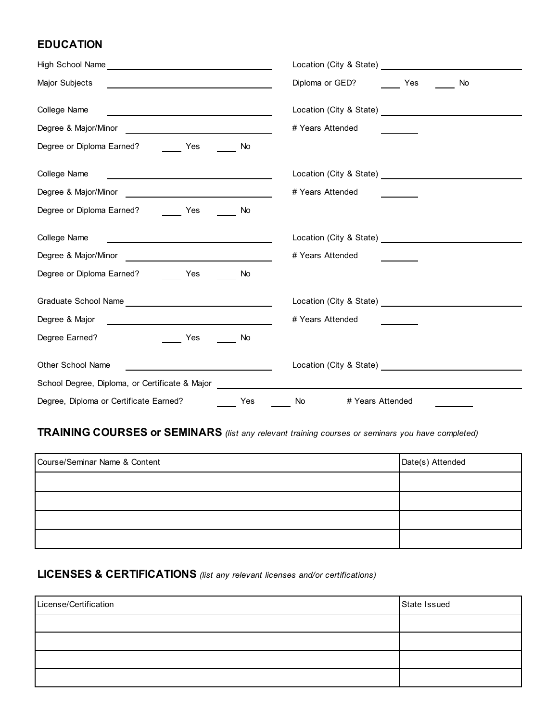### **EDUCATION**

| High School Name                                                                                                                                                                                                                                     |                                                              |
|------------------------------------------------------------------------------------------------------------------------------------------------------------------------------------------------------------------------------------------------------|--------------------------------------------------------------|
| Major Subjects                                                                                                                                                                                                                                       | Diploma or GED? Yes<br>No.                                   |
| College Name<br><u> 1989 - Johann Barn, mars an t-Amerikaansk kommunister (</u>                                                                                                                                                                      | Location (City & State) Location and Location (City & State) |
|                                                                                                                                                                                                                                                      | # Years Attended                                             |
| Degree or Diploma Earned?<br>Yes<br><b>No</b>                                                                                                                                                                                                        |                                                              |
| College Name                                                                                                                                                                                                                                         |                                                              |
|                                                                                                                                                                                                                                                      | # Years Attended                                             |
| Degree or Diploma Earned?<br>Yes<br>No                                                                                                                                                                                                               |                                                              |
| College Name<br><u>and the community of the community of the community of the community of the community of the community of the community of the community of the community of the community of the community of the community of the community</u> | Location (City & State)                                      |
| Degree & Major/Minor<br><u> Liste de la construcción de la construcción de la construcción de la construcción de la construcción de la c</u>                                                                                                         | # Years Attended                                             |
| Degree or Diploma Earned?<br>Yes<br>No                                                                                                                                                                                                               |                                                              |
|                                                                                                                                                                                                                                                      |                                                              |
| Degree & Major                                                                                                                                                                                                                                       | # Years Attended                                             |
| Degree Earned?<br>Yes<br>No                                                                                                                                                                                                                          |                                                              |
| <b>Other School Name</b><br><u> 1989 - Johann Barbara, martxa a</u>                                                                                                                                                                                  | Location (City & State) Management City & State)             |
| School Degree, Diploma, or Certificate & Major Letter and Controller and Controller and Controller and Controller                                                                                                                                    |                                                              |
| Degree, Diploma or Certificate Earned?<br>Yes                                                                                                                                                                                                        | # Years Attended<br>No                                       |

### **TRAINING COURSES or SEMINARS** *(list any relevant training courses or seminars you have completed)*

| Course/Seminar Name & Content | Date(s) Attended |
|-------------------------------|------------------|
|                               |                  |
|                               |                  |
|                               |                  |
|                               |                  |

### **LICENSES & CERTIFICATIONS** *(list any relevant licenses and/or certifications)*

| License/Certification | State Issued |
|-----------------------|--------------|
|                       |              |
|                       |              |
|                       |              |
|                       |              |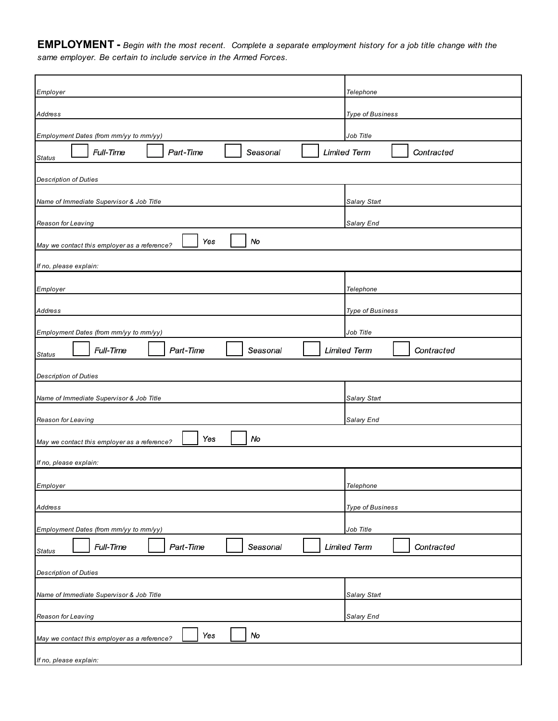**EMPLOYMENT -** *Begin with the most recent. Complete a separate employment history for a job title change with the same employer. Be certain to include service in the Armed Forces.*

| Employer                                                                     | Telephone                                      |  |
|------------------------------------------------------------------------------|------------------------------------------------|--|
| Address                                                                      | <b>Type of Business</b>                        |  |
|                                                                              |                                                |  |
| Employment Dates (from mm/yy to mm/yy)<br>Full-Time<br>Part-Time<br>Seasonal | Job Title<br><b>Limited Term</b><br>Contracted |  |
| <b>Status</b>                                                                |                                                |  |
| <b>Description of Duties</b>                                                 |                                                |  |
| Name of Immediate Supervisor & Job Title                                     | <b>Salary Start</b>                            |  |
| Reason for Leaving                                                           | Salary End                                     |  |
| Yes<br>No<br>May we contact this employer as a reference?                    |                                                |  |
| If no, please explain:                                                       |                                                |  |
| Employer                                                                     | Telephone                                      |  |
| Address                                                                      | <b>Type of Business</b>                        |  |
| Employment Dates (from mm/yy to mm/yy)                                       | Job Title                                      |  |
| Full-Time<br>Part-Time<br>Seasonal                                           | <b>Limited Term</b><br>Contracted              |  |
| <b>Status</b>                                                                |                                                |  |
| <b>Description of Duties</b>                                                 |                                                |  |
| Name of Immediate Supervisor & Job Title                                     | Salary Start                                   |  |
| Reason for Leaving                                                           | Salary End                                     |  |
| No<br>Yes<br>May we contact this employer as a reference?                    |                                                |  |
| If no, please explain:                                                       |                                                |  |
| Employer                                                                     | Telephone                                      |  |
| Address                                                                      | Type of Business                               |  |
|                                                                              |                                                |  |
| Employment Dates (from mm/yy to mm/yy)<br>Full-Time<br>Part-Time<br>Seasonal | Job Title<br><b>Limited Term</b><br>Contracted |  |
| <b>Status</b>                                                                |                                                |  |
| <b>Description of Duties</b>                                                 |                                                |  |
| Name of Immediate Supervisor & Job Title                                     | Salary Start                                   |  |
| Reason for Leaving                                                           | Salary End                                     |  |
| No<br>Yes<br>May we contact this employer as a reference?                    |                                                |  |
| If no, please explain:                                                       |                                                |  |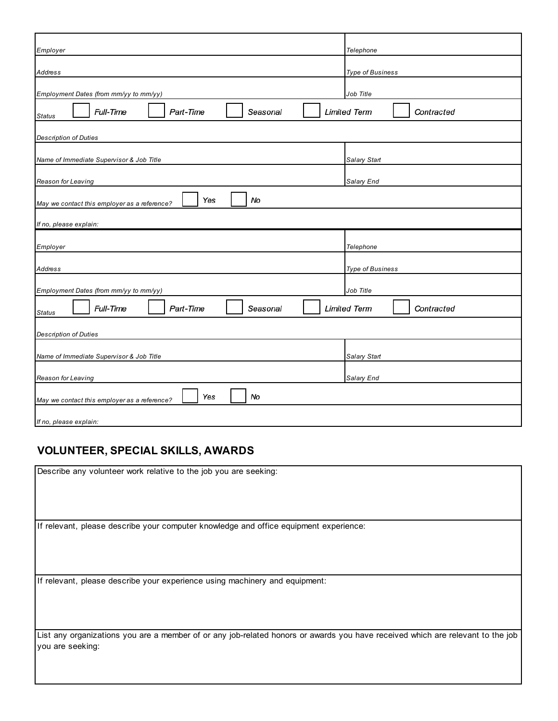| Employer                                                  | Telephone                         |
|-----------------------------------------------------------|-----------------------------------|
|                                                           |                                   |
| Address                                                   | <b>Type of Business</b>           |
|                                                           |                                   |
| Employment Dates (from mm/yy to mm/yy)                    | Job Title                         |
| Full-Time<br>Part-Time<br>Seasonal<br><b>Status</b>       | <b>Limited Term</b><br>Contracted |
| <b>Description of Duties</b>                              |                                   |
|                                                           |                                   |
| Name of Immediate Supervisor & Job Title                  | <b>Salary Start</b>               |
|                                                           |                                   |
| Reason for Leaving                                        | Salary End                        |
| Yes<br>No<br>May we contact this employer as a reference? |                                   |
|                                                           |                                   |
| If no, please explain:                                    |                                   |
|                                                           |                                   |
| Employer                                                  | Telephone                         |
|                                                           |                                   |
| Address                                                   | <b>Type of Business</b>           |
|                                                           |                                   |
| Employment Dates (from mm/yy to mm/yy)                    | Job Title                         |
| Full-Time<br>Part-Time<br>Seasonal<br><b>Status</b>       | <b>Limited Term</b><br>Contracted |
|                                                           |                                   |
|                                                           |                                   |
| <b>Description of Duties</b>                              |                                   |
|                                                           |                                   |
| Name of Immediate Supervisor & Job Title                  | Salary Start                      |
| Reason for Leaving                                        |                                   |
|                                                           | Salary End                        |
| No<br>Yes<br>May we contact this employer as a reference? |                                   |
|                                                           |                                   |

## **VOLUNTEER, SPECIAL SKILLS, AWARDS**

| Describe any volunteer work relative to the job you are seeking:                                                               |
|--------------------------------------------------------------------------------------------------------------------------------|
|                                                                                                                                |
|                                                                                                                                |
|                                                                                                                                |
| If relevant, please describe your computer knowledge and office equipment experience:                                          |
|                                                                                                                                |
|                                                                                                                                |
|                                                                                                                                |
| If relevant, please describe your experience using machinery and equipment:                                                    |
|                                                                                                                                |
|                                                                                                                                |
|                                                                                                                                |
| List any organizations you are a member of or any job-related honors or awards you have received which are relevant to the job |
| you are seeking:                                                                                                               |
|                                                                                                                                |
|                                                                                                                                |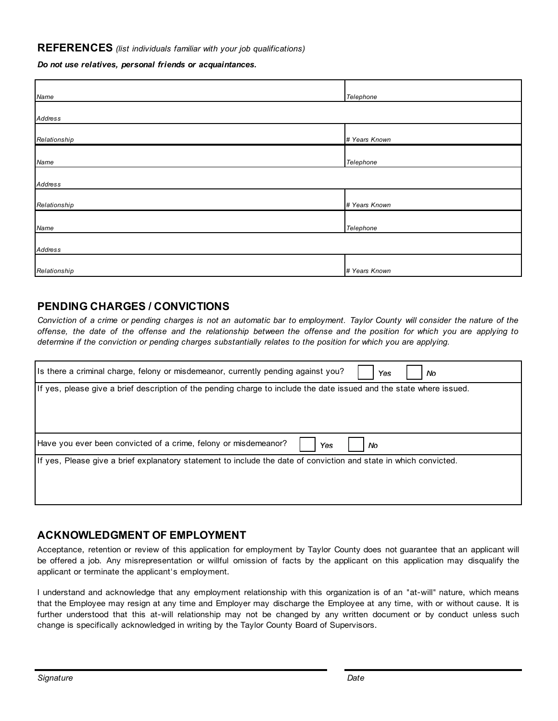#### **REFERENCES** *(list individuals familiar with your job qualifications)*

*Do not use relatives, personal friends or acquaintances.*

| Name         | Telephone     |
|--------------|---------------|
|              |               |
| Address      |               |
|              |               |
| Relationship | # Years Known |
|              |               |
| Name         | Telephone     |
|              |               |
|              |               |
| Address      |               |
|              |               |
| Relationship | # Years Known |
|              |               |
| Name         | Telephone     |
|              |               |
|              |               |
| Address      |               |
|              |               |
| Relationship | # Years Known |

#### **PENDING CHARGES / CONVICTIONS**

Conviction of a crime or pending charges is not an automatic bar to employment. Taylor County will consider the nature of the offense, the date of the offense and the relationship between the offense and the position for which you are applying to *determine if the conviction or pending charges substantially relates to the position for which you are applying.*

| Its there a criminal charge, felony or misdemeanor, currently pending against you?<br>No<br>Yes                      |
|----------------------------------------------------------------------------------------------------------------------|
| If yes, please give a brief description of the pending charge to include the date issued and the state where issued. |
| Have you ever been convicted of a crime, felony or misdemeanor?<br>Yes<br>No                                         |
| If yes, Please give a brief explanatory statement to include the date of conviction and state in which convicted.    |

#### **ACKNOWLEDGMENT OF EMPLOYMENT**

Acceptance, retention or review of this application for employment by Taylor County does not guarantee that an applicant will be offered a job. Any misrepresentation or willful omission of facts by the applicant on this application may disqualify the applicant or terminate the applicant's employment.

I understand and acknowledge that any employment relationship with this organization is of an "at-will" nature, which means that the Employee may resign at any time and Employer may discharge the Employee at any time, with or without cause. It is further understood that this at-will relationship may not be changed by any written document or by conduct unless such change is specifically acknowledged in writing by the Taylor County Board of Supervisors.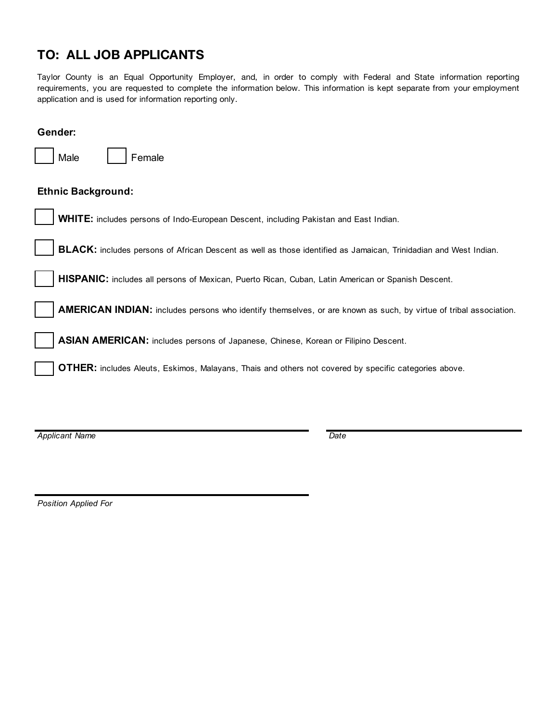# **TO: ALL JOB APPLICANTS**

Taylor County is an Equal Opportunity Employer, and, in order to comply with Federal and State information reporting requirements, you are requested to complete the information below. This information is kept separate from your employment application and is used for information reporting only.

| Gender:                                                                                                           |
|-------------------------------------------------------------------------------------------------------------------|
| Male<br>Female                                                                                                    |
| <b>Ethnic Background:</b>                                                                                         |
| <b>WHITE:</b> includes persons of Indo-European Descent, including Pakistan and East Indian.                      |
| BLACK: includes persons of African Descent as well as those identified as Jamaican, Trinidadian and West Indian.  |
| HISPANIC: includes all persons of Mexican, Puerto Rican, Cuban, Latin American or Spanish Descent.                |
| AMERICAN INDIAN: includes persons who identify themselves, or are known as such, by virtue of tribal association. |
| ASIAN AMERICAN: includes persons of Japanese, Chinese, Korean or Filipino Descent.                                |
| <b>OTHER:</b> includes Aleuts, Eskimos, Malayans, Thais and others not covered by specific categories above.      |
|                                                                                                                   |

*Applicant Name Date*

*Position Applied For*